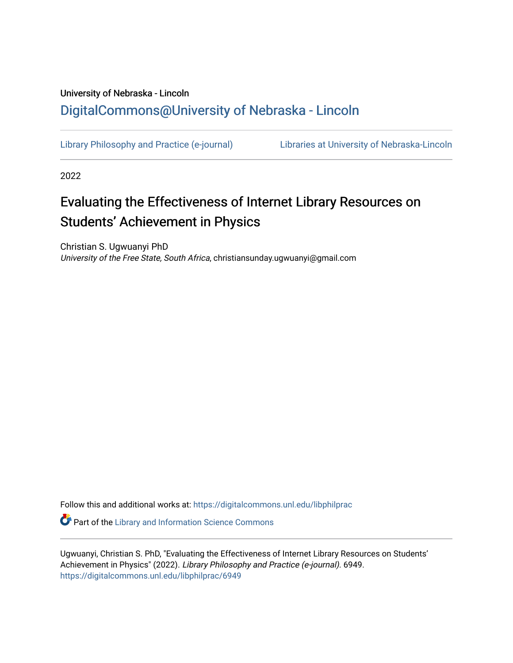## University of Nebraska - Lincoln [DigitalCommons@University of Nebraska - Lincoln](https://digitalcommons.unl.edu/)

[Library Philosophy and Practice \(e-journal\)](https://digitalcommons.unl.edu/libphilprac) [Libraries at University of Nebraska-Lincoln](https://digitalcommons.unl.edu/libraries) 

2022

# Evaluating the Effectiveness of Internet Library Resources on Students' Achievement in Physics

Christian S. Ugwuanyi PhD University of the Free State, South Africa, christiansunday.ugwuanyi@gmail.com

Follow this and additional works at: [https://digitalcommons.unl.edu/libphilprac](https://digitalcommons.unl.edu/libphilprac?utm_source=digitalcommons.unl.edu%2Flibphilprac%2F6949&utm_medium=PDF&utm_campaign=PDFCoverPages) 

**Part of the Library and Information Science Commons** 

Ugwuanyi, Christian S. PhD, "Evaluating the Effectiveness of Internet Library Resources on Students' Achievement in Physics" (2022). Library Philosophy and Practice (e-journal). 6949. [https://digitalcommons.unl.edu/libphilprac/6949](https://digitalcommons.unl.edu/libphilprac/6949?utm_source=digitalcommons.unl.edu%2Flibphilprac%2F6949&utm_medium=PDF&utm_campaign=PDFCoverPages)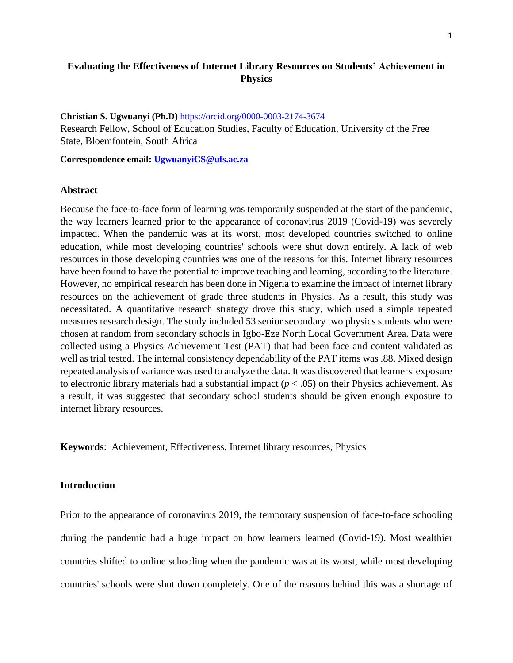## **Evaluating the Effectiveness of Internet Library Resources on Students' Achievement in Physics**

**Christian S. Ugwuanyi (Ph.D)** <https://orcid.org/0000-0003-2174-3674> Research Fellow, School of Education Studies, Faculty of Education, University of the Free State, Bloemfontein, South Africa

**Correspondence email: [UgwuanyiCS@ufs.ac.za](mailto:UgwuanyiCS@ufs.ac.za)**

#### **Abstract**

Because the face-to-face form of learning was temporarily suspended at the start of the pandemic, the way learners learned prior to the appearance of coronavirus 2019 (Covid-19) was severely impacted. When the pandemic was at its worst, most developed countries switched to online education, while most developing countries' schools were shut down entirely. A lack of web resources in those developing countries was one of the reasons for this. Internet library resources have been found to have the potential to improve teaching and learning, according to the literature. However, no empirical research has been done in Nigeria to examine the impact of internet library resources on the achievement of grade three students in Physics. As a result, this study was necessitated. A quantitative research strategy drove this study, which used a simple repeated measures research design. The study included 53 senior secondary two physics students who were chosen at random from secondary schools in Igbo-Eze North Local Government Area. Data were collected using a Physics Achievement Test (PAT) that had been face and content validated as well as trial tested. The internal consistency dependability of the PAT items was .88. Mixed design repeated analysis of variance was used to analyze the data. It was discovered that learners' exposure to electronic library materials had a substantial impact  $(p < .05)$  on their Physics achievement. As a result, it was suggested that secondary school students should be given enough exposure to internet library resources.

**Keywords**: Achievement, Effectiveness, Internet library resources, Physics

## **Introduction**

Prior to the appearance of coronavirus 2019, the temporary suspension of face-to-face schooling during the pandemic had a huge impact on how learners learned (Covid-19). Most wealthier countries shifted to online schooling when the pandemic was at its worst, while most developing countries' schools were shut down completely. One of the reasons behind this was a shortage of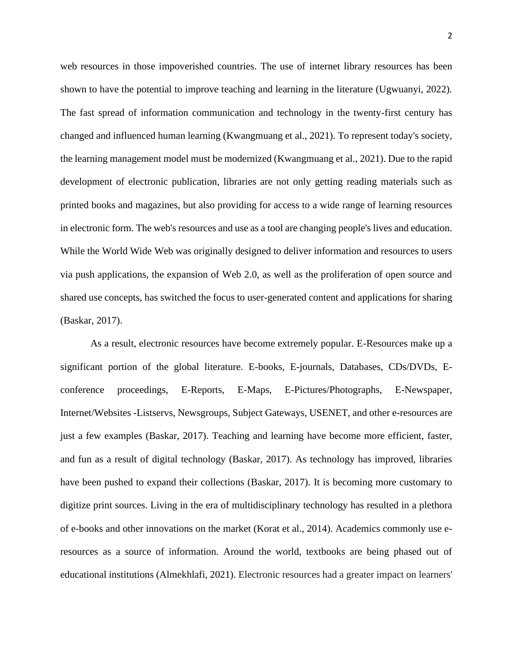web resources in those impoverished countries. The use of internet library resources has been shown to have the potential to improve teaching and learning in the literature (Ugwuanyi, 2022). The fast spread of information communication and technology in the twenty-first century has changed and influenced human learning (Kwangmuang et al., 2021). To represent today's society, the learning management model must be modernized (Kwangmuang et al., 2021). Due to the rapid development of electronic publication, libraries are not only getting reading materials such as printed books and magazines, but also providing for access to a wide range of learning resources in electronic form. The web's resources and use as a tool are changing people's lives and education. While the World Wide Web was originally designed to deliver information and resources to users via push applications, the expansion of Web 2.0, as well as the proliferation of open source and shared use concepts, has switched the focus to user-generated content and applications for sharing (Baskar, 2017).

As a result, electronic resources have become extremely popular. E-Resources make up a significant portion of the global literature. E-books, E-journals, Databases, CDs/DVDs, Econference proceedings, E-Reports, E-Maps, E-Pictures/Photographs, E-Newspaper, Internet/Websites -Listservs, Newsgroups, Subject Gateways, USENET, and other e-resources are just a few examples (Baskar, 2017). Teaching and learning have become more efficient, faster, and fun as a result of digital technology (Baskar, 2017). As technology has improved, libraries have been pushed to expand their collections (Baskar, 2017). It is becoming more customary to digitize print sources. Living in the era of multidisciplinary technology has resulted in a plethora of e-books and other innovations on the market (Korat et al., 2014). Academics commonly use eresources as a source of information. Around the world, textbooks are being phased out of educational institutions (Almekhlafi, 2021). Electronic resources had a greater impact on learners'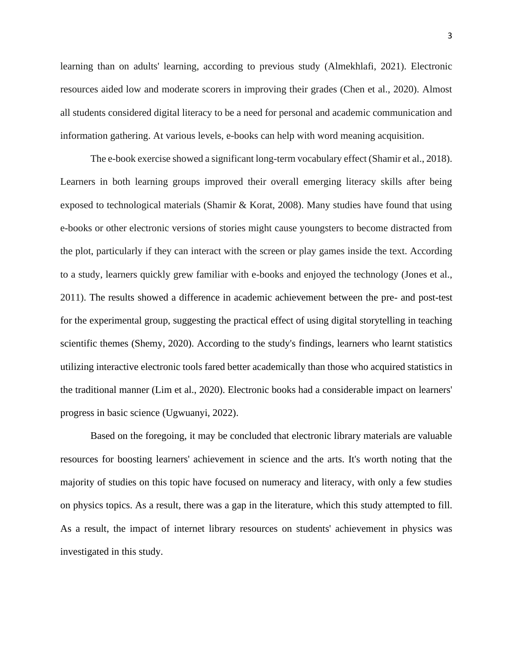learning than on adults' learning, according to previous study (Almekhlafi, 2021). Electronic resources aided low and moderate scorers in improving their grades (Chen et al., 2020). Almost all students considered digital literacy to be a need for personal and academic communication and information gathering. At various levels, e-books can help with word meaning acquisition.

The e-book exercise showed a significant long-term vocabulary effect (Shamir et al., 2018). Learners in both learning groups improved their overall emerging literacy skills after being exposed to technological materials (Shamir & Korat, 2008). Many studies have found that using e-books or other electronic versions of stories might cause youngsters to become distracted from the plot, particularly if they can interact with the screen or play games inside the text. According to a study, learners quickly grew familiar with e-books and enjoyed the technology (Jones et al., 2011). The results showed a difference in academic achievement between the pre- and post-test for the experimental group, suggesting the practical effect of using digital storytelling in teaching scientific themes (Shemy, 2020). According to the study's findings, learners who learnt statistics utilizing interactive electronic tools fared better academically than those who acquired statistics in the traditional manner (Lim et al., 2020). Electronic books had a considerable impact on learners' progress in basic science (Ugwuanyi, 2022).

Based on the foregoing, it may be concluded that electronic library materials are valuable resources for boosting learners' achievement in science and the arts. It's worth noting that the majority of studies on this topic have focused on numeracy and literacy, with only a few studies on physics topics. As a result, there was a gap in the literature, which this study attempted to fill. As a result, the impact of internet library resources on students' achievement in physics was investigated in this study.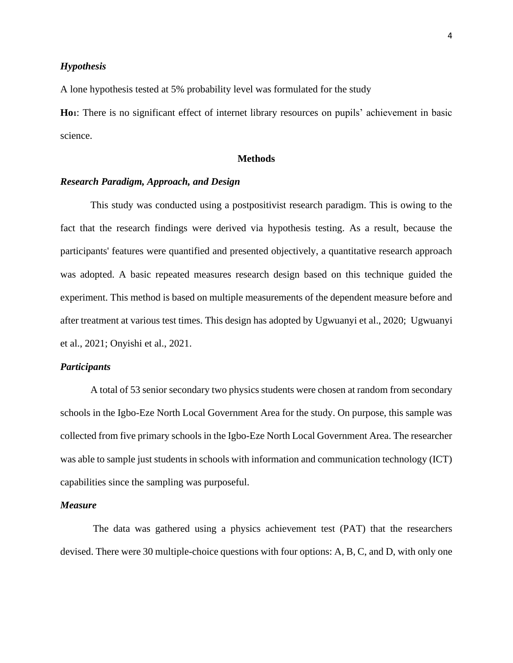#### *Hypothesis*

A lone hypothesis tested at 5% probability level was formulated for the study

**Ho1**: There is no significant effect of internet library resources on pupils' achievement in basic science.

## **Methods**

## *Research Paradigm, Approach, and Design*

This study was conducted using a postpositivist research paradigm. This is owing to the fact that the research findings were derived via hypothesis testing. As a result, because the participants' features were quantified and presented objectively, a quantitative research approach was adopted. A basic repeated measures research design based on this technique guided the experiment. This method is based on multiple measurements of the dependent measure before and after treatment at various test times. This design has adopted by Ugwuanyi et al., 2020; Ugwuanyi et al., 2021; Onyishi et al., 2021.

#### *Participants*

A total of 53 senior secondary two physics students were chosen at random from secondary schools in the Igbo-Eze North Local Government Area for the study. On purpose, this sample was collected from five primary schools in the Igbo-Eze North Local Government Area. The researcher was able to sample just students in schools with information and communication technology (ICT) capabilities since the sampling was purposeful.

## *Measure*

The data was gathered using a physics achievement test (PAT) that the researchers devised. There were 30 multiple-choice questions with four options: A, B, C, and D, with only one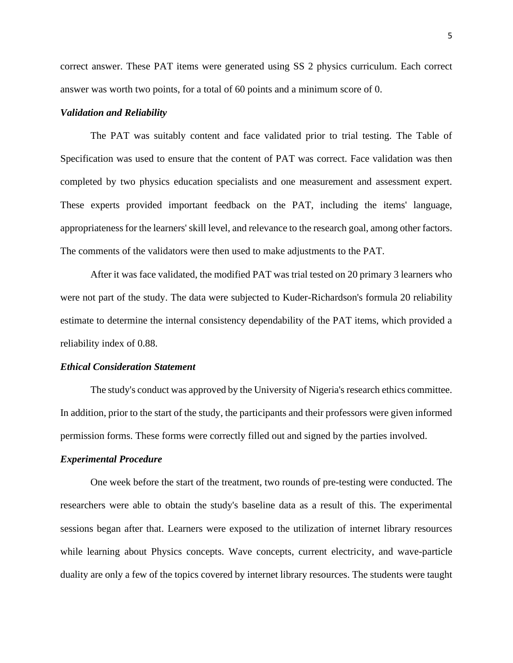correct answer. These PAT items were generated using SS 2 physics curriculum. Each correct answer was worth two points, for a total of 60 points and a minimum score of 0.

#### *Validation and Reliability*

The PAT was suitably content and face validated prior to trial testing. The Table of Specification was used to ensure that the content of PAT was correct. Face validation was then completed by two physics education specialists and one measurement and assessment expert. These experts provided important feedback on the PAT, including the items' language, appropriateness for the learners' skill level, and relevance to the research goal, among other factors. The comments of the validators were then used to make adjustments to the PAT.

After it was face validated, the modified PAT was trial tested on 20 primary 3 learners who were not part of the study. The data were subjected to Kuder-Richardson's formula 20 reliability estimate to determine the internal consistency dependability of the PAT items, which provided a reliability index of 0.88.

#### *Ethical Consideration Statement*

The study's conduct was approved by the University of Nigeria's research ethics committee. In addition, prior to the start of the study, the participants and their professors were given informed permission forms. These forms were correctly filled out and signed by the parties involved.

#### *Experimental Procedure*

One week before the start of the treatment, two rounds of pre-testing were conducted. The researchers were able to obtain the study's baseline data as a result of this. The experimental sessions began after that. Learners were exposed to the utilization of internet library resources while learning about Physics concepts. Wave concepts, current electricity, and wave-particle duality are only a few of the topics covered by internet library resources. The students were taught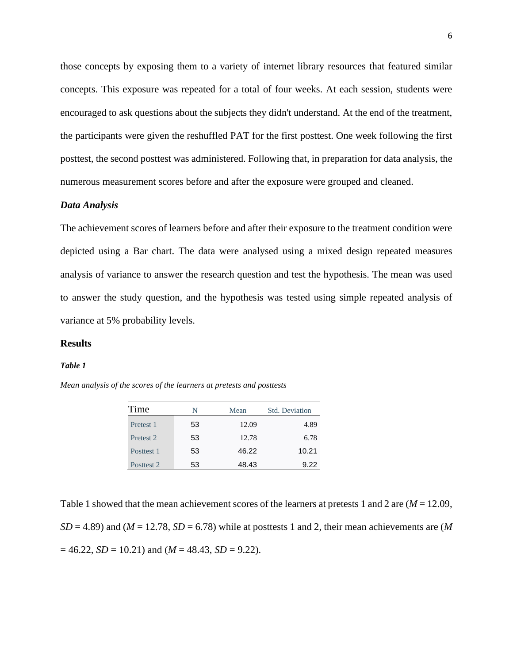those concepts by exposing them to a variety of internet library resources that featured similar concepts. This exposure was repeated for a total of four weeks. At each session, students were encouraged to ask questions about the subjects they didn't understand. At the end of the treatment, the participants were given the reshuffled PAT for the first posttest. One week following the first posttest, the second posttest was administered. Following that, in preparation for data analysis, the numerous measurement scores before and after the exposure were grouped and cleaned.

#### *Data Analysis*

The achievement scores of learners before and after their exposure to the treatment condition were depicted using a Bar chart. The data were analysed using a mixed design repeated measures analysis of variance to answer the research question and test the hypothesis. The mean was used to answer the study question, and the hypothesis was tested using simple repeated analysis of variance at 5% probability levels.

#### **Results**

#### *Table 1*

*Mean analysis of the scores of the learners at pretests and posttests*

| Time                 | N<br>Mean |       | Std. Deviation |  |
|----------------------|-----------|-------|----------------|--|
| Pretest 1            | 53        | 12.09 | 4.89           |  |
| Pretest <sub>2</sub> | 53        | 12.78 | 6.78           |  |
| Posttest 1           | 53        | 46.22 | 10.21          |  |
| Posttest 2           | 53        | 48.43 | 9.22           |  |

Table 1 showed that the mean achievement scores of the learners at pretests 1 and 2 are (*M* = 12.09,  $SD = 4.89$ ) and ( $M = 12.78$ ,  $SD = 6.78$ ) while at posttests 1 and 2, their mean achievements are (M)  $= 46.22$ , *SD* = 10.21) and (*M* = 48.43, *SD* = 9.22).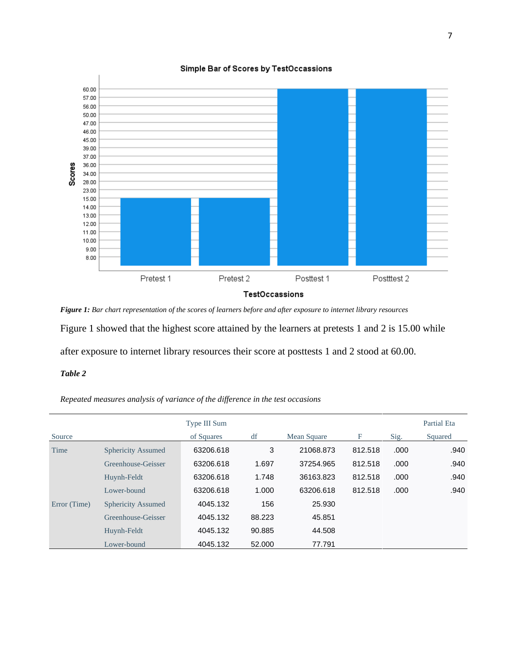

Simple Bar of Scores by TestOccassions

*Figure 1: Bar chart representation of the scores of learners before and after exposure to internet library resources* Figure 1 showed that the highest score attained by the learners at pretests 1 and 2 is 15.00 while after exposure to internet library resources their score at posttests 1 and 2 stood at 60.00.

## *Table 2*

*Repeated measures analysis of variance of the difference in the test occasions*

|              |                           | Type III Sum |        |             |         |       | Partial Eta |
|--------------|---------------------------|--------------|--------|-------------|---------|-------|-------------|
| Source       |                           | of Squares   | df     | Mean Square | F       | Sig.  | Squared     |
| Time         | <b>Sphericity Assumed</b> | 63206.618    | 3      | 21068.873   | 812.518 | .000  | .940        |
|              | Greenhouse-Geisser        | 63206.618    | 1.697  | 37254.965   | 812.518 | .000  | .940        |
|              | Huynh-Feldt               | 63206.618    | 1.748  | 36163.823   | 812.518 | .000  | .940        |
|              | Lower-bound               | 63206.618    | 1.000  | 63206.618   | 812.518 | .000. | .940        |
| Error (Time) | <b>Sphericity Assumed</b> | 4045.132     | 156    | 25.930      |         |       |             |
|              | Greenhouse-Geisser        | 4045.132     | 88.223 | 45.851      |         |       |             |
|              | Huynh-Feldt               | 4045.132     | 90.885 | 44.508      |         |       |             |
|              | Lower-bound               | 4045.132     | 52,000 | 77.791      |         |       |             |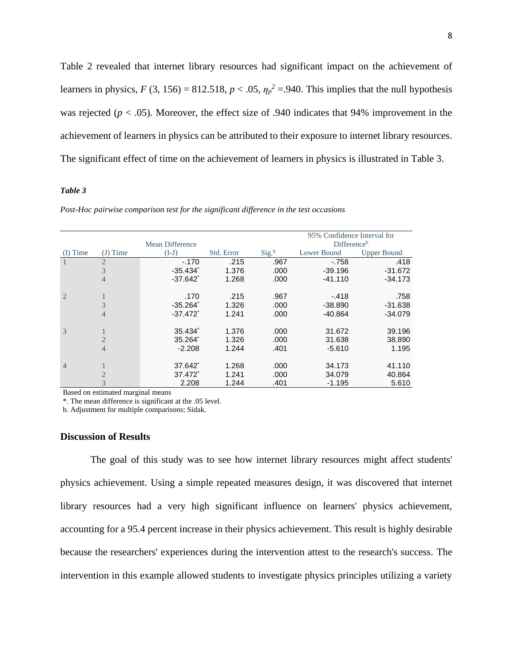Table 2 revealed that internet library resources had significant impact on the achievement of learners in physics,  $F(3, 156) = 812.518$ ,  $p < .05$ ,  $\eta_p^2 = .940$ . This implies that the null hypothesis was rejected ( $p < .05$ ). Moreover, the effect size of .940 indicates that 94% improvement in the achievement of learners in physics can be attributed to their exposure to internet library resources. The significant effect of time on the achievement of learners in physics is illustrated in Table 3.

#### *Table 3*

|                |                |                        |            |                   | 95% Confidence Interval for |                    |  |
|----------------|----------------|------------------------|------------|-------------------|-----------------------------|--------------------|--|
|                |                | Mean Difference        |            |                   | Difference <sup>b</sup>     |                    |  |
| Time           | Time<br>(J)    | $(I-J)$                | Std. Error | Sig. <sup>b</sup> | Lower Bound                 | <b>Upper Bound</b> |  |
|                | $\overline{2}$ | $-.170$                | .215       | .967              | $-758$                      | .418               |  |
|                | 3              | $-35.434$              | 1.376      | .000              | $-39.196$                   | $-31.672$          |  |
|                | 4              | $-37.642$ <sup>*</sup> | 1.268      | .000              | $-41.110$                   | $-34.173$          |  |
| $\overline{2}$ |                | .170                   | .215       | .967              | $-.418$                     | .758               |  |
|                | 3              | $-35.264$ <sup>*</sup> | 1.326      | .000              | $-38.890$                   | $-31.638$          |  |
|                | 4              | $-37.472$ <sup>*</sup> | 1.241      | .000              | $-40.864$                   | $-34.079$          |  |
| 3              |                | $35.434$ <sup>*</sup>  | 1.376      | .000              | 31.672                      | 39.196             |  |
|                | $\overline{2}$ | $35.264^*$             | 1.326      | .000              | 31.638                      | 38.890             |  |
|                | 4              | $-2.208$               | 1.244      | .401              | $-5.610$                    | 1.195              |  |
| $\overline{4}$ |                | 37.642                 | 1.268      | .000              | 34.173                      | 41.110             |  |
|                | $\overline{2}$ | 37.472 <sup>*</sup>    | 1.241      | .000              | 34.079                      | 40.864             |  |
|                | 3              | 2.208                  | 1.244      | .401              | $-1.195$                    | 5.610              |  |
|                |                |                        |            |                   |                             |                    |  |

*Post-Hoc pairwise comparison test for the significant difference in the test occasions* 

Based on estimated marginal means

\*. The mean difference is significant at the .05 level.

b. Adjustment for multiple comparisons: Sidak.

#### **Discussion of Results**

The goal of this study was to see how internet library resources might affect students' physics achievement. Using a simple repeated measures design, it was discovered that internet library resources had a very high significant influence on learners' physics achievement, accounting for a 95.4 percent increase in their physics achievement. This result is highly desirable because the researchers' experiences during the intervention attest to the research's success. The intervention in this example allowed students to investigate physics principles utilizing a variety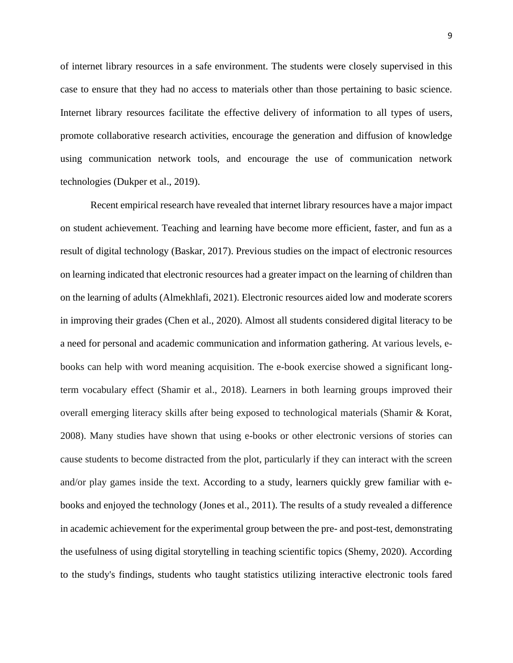of internet library resources in a safe environment. The students were closely supervised in this case to ensure that they had no access to materials other than those pertaining to basic science. Internet library resources facilitate the effective delivery of information to all types of users, promote collaborative research activities, encourage the generation and diffusion of knowledge using communication network tools, and encourage the use of communication network technologies (Dukper et al., 2019).

Recent empirical research have revealed that internet library resources have a major impact on student achievement. Teaching and learning have become more efficient, faster, and fun as a result of digital technology (Baskar, 2017). Previous studies on the impact of electronic resources on learning indicated that electronic resources had a greater impact on the learning of children than on the learning of adults (Almekhlafi, 2021). Electronic resources aided low and moderate scorers in improving their grades (Chen et al., 2020). Almost all students considered digital literacy to be a need for personal and academic communication and information gathering. At various levels, ebooks can help with word meaning acquisition. The e-book exercise showed a significant longterm vocabulary effect (Shamir et al., 2018). Learners in both learning groups improved their overall emerging literacy skills after being exposed to technological materials (Shamir & Korat, 2008). Many studies have shown that using e-books or other electronic versions of stories can cause students to become distracted from the plot, particularly if they can interact with the screen and/or play games inside the text. According to a study, learners quickly grew familiar with ebooks and enjoyed the technology (Jones et al., 2011). The results of a study revealed a difference in academic achievement for the experimental group between the pre- and post-test, demonstrating the usefulness of using digital storytelling in teaching scientific topics (Shemy, 2020). According to the study's findings, students who taught statistics utilizing interactive electronic tools fared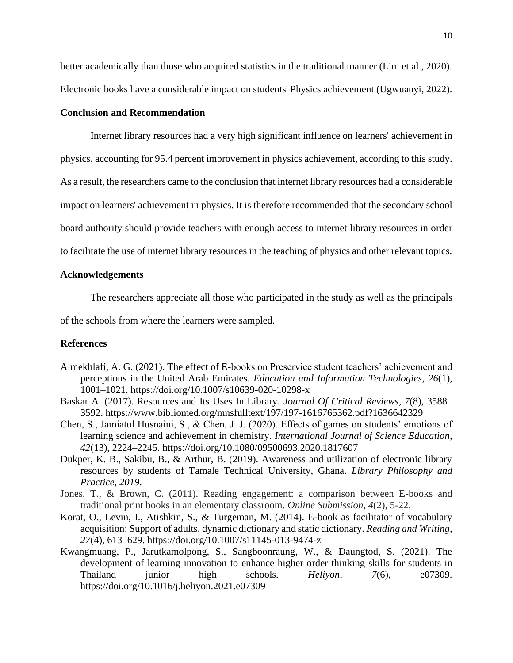better academically than those who acquired statistics in the traditional manner (Lim et al., 2020). Electronic books have a considerable impact on students' Physics achievement (Ugwuanyi, 2022).

## **Conclusion and Recommendation**

Internet library resources had a very high significant influence on learners' achievement in physics, accounting for 95.4 percent improvement in physics achievement, according to this study. As a result, the researchers came to the conclusion that internet library resources had a considerable impact on learners' achievement in physics. It is therefore recommended that the secondary school board authority should provide teachers with enough access to internet library resources in order to facilitate the use of internet library resources in the teaching of physics and other relevant topics.

## **Acknowledgements**

The researchers appreciate all those who participated in the study as well as the principals

of the schools from where the learners were sampled.

## **References**

- Almekhlafi, A. G. (2021). The effect of E-books on Preservice student teachers' achievement and perceptions in the United Arab Emirates. *Education and Information Technologies*, *26*(1), 1001–1021. https://doi.org/10.1007/s10639-020-10298-x
- Baskar A. (2017). Resources and Its Uses In Library. *Journal Of Critical Reviews*, *7*(8), 3588– 3592. https://www.bibliomed.org/mnsfulltext/197/197-1616765362.pdf?1636642329
- Chen, S., Jamiatul Husnaini, S., & Chen, J. J. (2020). Effects of games on students' emotions of learning science and achievement in chemistry. *International Journal of Science Education*, *42*(13), 2224–2245. https://doi.org/10.1080/09500693.2020.1817607
- Dukper, K. B., Sakibu, B., & Arthur, B. (2019). Awareness and utilization of electronic library resources by students of Tamale Technical University, Ghana. *Library Philosophy and Practice*, *2019*.
- Jones, T., & Brown, C. (2011). Reading engagement: a comparison between E-books and traditional print books in an elementary classroom. *Online Submission*, *4*(2), 5-22.
- Korat, O., Levin, I., Atishkin, S., & Turgeman, M. (2014). E-book as facilitator of vocabulary acquisition: Support of adults, dynamic dictionary and static dictionary. *Reading and Writing*, *27*(4), 613–629. https://doi.org/10.1007/s11145-013-9474-z
- Kwangmuang, P., Jarutkamolpong, S., Sangboonraung, W., & Daungtod, S. (2021). The development of learning innovation to enhance higher order thinking skills for students in Thailand junior high schools. *Heliyon*, *7*(6), e07309. https://doi.org/10.1016/j.heliyon.2021.e07309